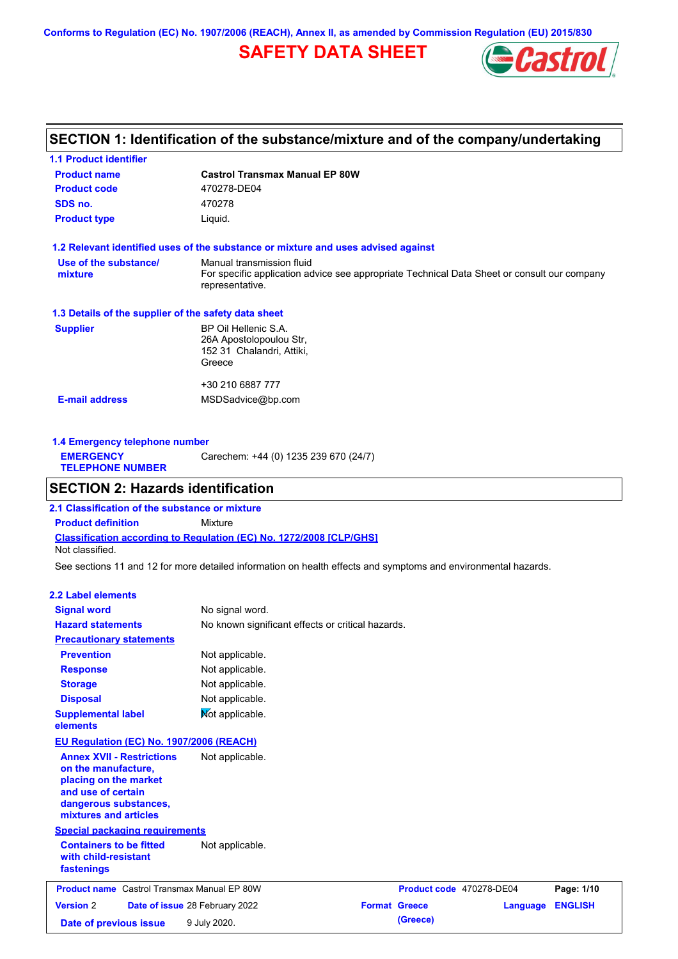**Conforms to Regulation (EC) No. 1907/2006 (REACH), Annex II, as amended by Commission Regulation (EU) 2015/830**

## **SAFETY DATA SHEET**



## **SECTION 1: Identification of the substance/mixture and of the company/undertaking**

| <b>1.1 Product identifier</b>                        |                                                                                                                                             |
|------------------------------------------------------|---------------------------------------------------------------------------------------------------------------------------------------------|
| <b>Product name</b>                                  | <b>Castrol Transmax Manual EP 80W</b>                                                                                                       |
| <b>Product code</b>                                  | 470278-DE04                                                                                                                                 |
| SDS no.                                              | 470278                                                                                                                                      |
| <b>Product type</b>                                  | Liquid.                                                                                                                                     |
|                                                      | 1.2 Relevant identified uses of the substance or mixture and uses advised against                                                           |
| Use of the substance/<br>mixture                     | Manual transmission fluid<br>For specific application advice see appropriate Technical Data Sheet or consult our company<br>representative. |
| 1.3 Details of the supplier of the safety data sheet |                                                                                                                                             |
| <b>Supplier</b>                                      | BP Oil Hellenic S.A.<br>26A Apostolopoulou Str,<br>152 31 Chalandri, Attiki,<br>Greece                                                      |
|                                                      | +30 210 6887 777                                                                                                                            |
| <b>E-mail address</b>                                | MSDSadvice@bp.com                                                                                                                           |
|                                                      |                                                                                                                                             |

| 1.4 Emergency telephone number              |                                       |  |  |  |
|---------------------------------------------|---------------------------------------|--|--|--|
| <b>EMERGENCY</b><br><b>TELEPHONE NUMBER</b> | Carechem: +44 (0) 1235 239 670 (24/7) |  |  |  |

## **SECTION 2: Hazards identification**

**Classification according to Regulation (EC) No. 1272/2008 [CLP/GHS] 2.1 Classification of the substance or mixture Product definition** Mixture Not classified.

See sections 11 and 12 for more detailed information on health effects and symptoms and environmental hazards.

#### **2.2 Label elements**

| <b>Signal word</b>                                                                                                                                       | No signal word.                |                                                   |                          |          |                |
|----------------------------------------------------------------------------------------------------------------------------------------------------------|--------------------------------|---------------------------------------------------|--------------------------|----------|----------------|
| <b>Hazard statements</b>                                                                                                                                 |                                | No known significant effects or critical hazards. |                          |          |                |
| <b>Precautionary statements</b>                                                                                                                          |                                |                                                   |                          |          |                |
| <b>Prevention</b>                                                                                                                                        | Not applicable.                |                                                   |                          |          |                |
| <b>Response</b>                                                                                                                                          | Not applicable.                |                                                   |                          |          |                |
| <b>Storage</b>                                                                                                                                           | Not applicable.                |                                                   |                          |          |                |
| <b>Disposal</b>                                                                                                                                          | Not applicable.                |                                                   |                          |          |                |
| <b>Supplemental label</b><br>elements                                                                                                                    | Not applicable.                |                                                   |                          |          |                |
| EU Regulation (EC) No. 1907/2006 (REACH)                                                                                                                 |                                |                                                   |                          |          |                |
| <b>Annex XVII - Restrictions</b><br>on the manufacture,<br>placing on the market<br>and use of certain<br>dangerous substances,<br>mixtures and articles | Not applicable.                |                                                   |                          |          |                |
| <b>Special packaging requirements</b>                                                                                                                    |                                |                                                   |                          |          |                |
| <b>Containers to be fitted</b><br>with child-resistant<br>fastenings                                                                                     | Not applicable.                |                                                   |                          |          |                |
| <b>Product name</b> Castrol Transmax Manual EP 80W                                                                                                       |                                |                                                   | Product code 470278-DE04 |          | Page: 1/10     |
| <b>Version 2</b>                                                                                                                                         | Date of issue 28 February 2022 |                                                   | <b>Format Greece</b>     | Language | <b>ENGLISH</b> |
| Date of previous issue                                                                                                                                   | 9 July 2020.                   |                                                   | (Greece)                 |          |                |
|                                                                                                                                                          |                                |                                                   |                          |          |                |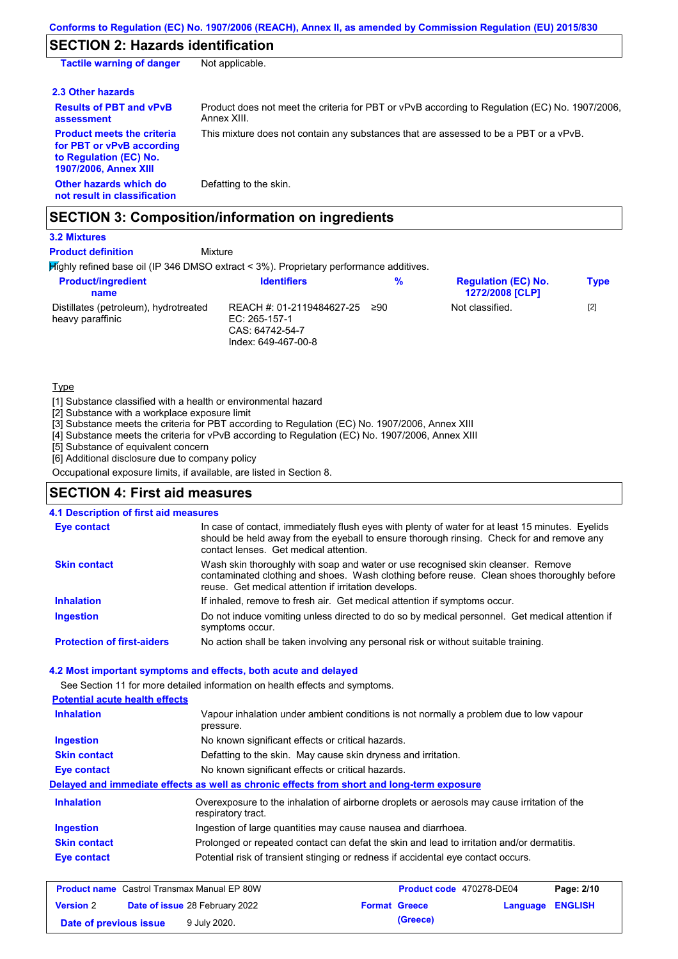## **SECTION 2: Hazards identification**

| <b>Tactile warning of danger</b>                                                                                         | Not applicable.                                                                                               |
|--------------------------------------------------------------------------------------------------------------------------|---------------------------------------------------------------------------------------------------------------|
| 2.3 Other hazards                                                                                                        |                                                                                                               |
| <b>Results of PBT and vPvB</b><br>assessment                                                                             | Product does not meet the criteria for PBT or vPvB according to Regulation (EC) No. 1907/2006.<br>Annex XIII. |
| <b>Product meets the criteria</b><br>for PBT or vPvB according<br>to Regulation (EC) No.<br><b>1907/2006, Annex XIII</b> | This mixture does not contain any substances that are assessed to be a PBT or a vPvB.                         |
| Other hazards which do<br>not result in classification                                                                   | Defatting to the skin.                                                                                        |

### **SECTION 3: Composition/information on ingredients**

**3.2 Mixtures**

**Product definition**

#### Mixture

Highly refined base oil (IP 346 DMSO extract < 3%). Proprietary performance additives.

| <b>Product/ingredient</b><br>name                         | <b>Identifiers</b>                                                                     | %   | <b>Regulation (EC) No.</b><br><b>1272/2008 [CLP]</b> | <b>Type</b> |
|-----------------------------------------------------------|----------------------------------------------------------------------------------------|-----|------------------------------------------------------|-------------|
| Distillates (petroleum), hydrotreated<br>heavy paraffinic | REACH #: 01-2119484627-25<br>EC: $265-157-1$<br>CAS: 64742-54-7<br>Index: 649-467-00-8 | ≥90 | Not classified.                                      | $[2]$       |

**Type** 

[1] Substance classified with a health or environmental hazard

[2] Substance with a workplace exposure limit

[3] Substance meets the criteria for PBT according to Regulation (EC) No. 1907/2006, Annex XIII

[4] Substance meets the criteria for vPvB according to Regulation (EC) No. 1907/2006, Annex XIII

[5] Substance of equivalent concern

[6] Additional disclosure due to company policy

Occupational exposure limits, if available, are listed in Section 8.

### **SECTION 4: First aid measures**

#### **4.1 Description of first aid measures**

| <b>Eye contact</b>                | In case of contact, immediately flush eyes with plenty of water for at least 15 minutes. Eyelids<br>should be held away from the eyeball to ensure thorough rinsing. Check for and remove any<br>contact lenses. Get medical attention. |
|-----------------------------------|-----------------------------------------------------------------------------------------------------------------------------------------------------------------------------------------------------------------------------------------|
| <b>Skin contact</b>               | Wash skin thoroughly with soap and water or use recognised skin cleanser. Remove<br>contaminated clothing and shoes. Wash clothing before reuse. Clean shoes thoroughly before<br>reuse. Get medical attention if irritation develops.  |
| <b>Inhalation</b>                 | If inhaled, remove to fresh air. Get medical attention if symptoms occur.                                                                                                                                                               |
| <b>Ingestion</b>                  | Do not induce vomiting unless directed to do so by medical personnel. Get medical attention if<br>symptoms occur.                                                                                                                       |
| <b>Protection of first-aiders</b> | No action shall be taken involving any personal risk or without suitable training.                                                                                                                                                      |

#### **4.2 Most important symptoms and effects, both acute and delayed**

See Section 11 for more detailed information on health effects and symptoms.

| <b>Potential acute health effects</b> |                                                                                            |                                                                                             |              |
|---------------------------------------|--------------------------------------------------------------------------------------------|---------------------------------------------------------------------------------------------|--------------|
| <b>Inhalation</b>                     | pressure.                                                                                  | Vapour inhalation under ambient conditions is not normally a problem due to low vapour      |              |
| <b>Ingestion</b>                      | No known significant effects or critical hazards.                                          |                                                                                             |              |
| <b>Skin contact</b>                   | Defatting to the skin. May cause skin dryness and irritation.                              |                                                                                             |              |
| Eye contact                           | No known significant effects or critical hazards.                                          |                                                                                             |              |
|                                       | Delayed and immediate effects as well as chronic effects from short and long-term exposure |                                                                                             |              |
| <b>Inhalation</b>                     | respiratory tract.                                                                         | Overexposure to the inhalation of airborne droplets or aerosols may cause irritation of the |              |
| <b>Ingestion</b>                      | Ingestion of large quantities may cause nausea and diarrhoea.                              |                                                                                             |              |
| <b>Skin contact</b>                   | Prolonged or repeated contact can defat the skin and lead to irritation and/or dermatitis. |                                                                                             |              |
| Eye contact                           |                                                                                            | Potential risk of transient stinging or redness if accidental eye contact occurs.           |              |
|                                       | <b>Product name</b> Castrol Transmax Manual EP 80W                                         | <b>Product code</b> 470278-DE04                                                             | Page: $2/10$ |

|                        | <b>Product name</b> Castrol Transmax Manual EP 80W | Product code 470278-DE04 |                  | Page: 2/10 |
|------------------------|----------------------------------------------------|--------------------------|------------------|------------|
| <b>Version 2</b>       | <b>Date of issue 28 February 2022</b>              | <b>Format Greece</b>     | Language ENGLISH |            |
| Date of previous issue | 9 July 2020.                                       | (Greece)                 |                  |            |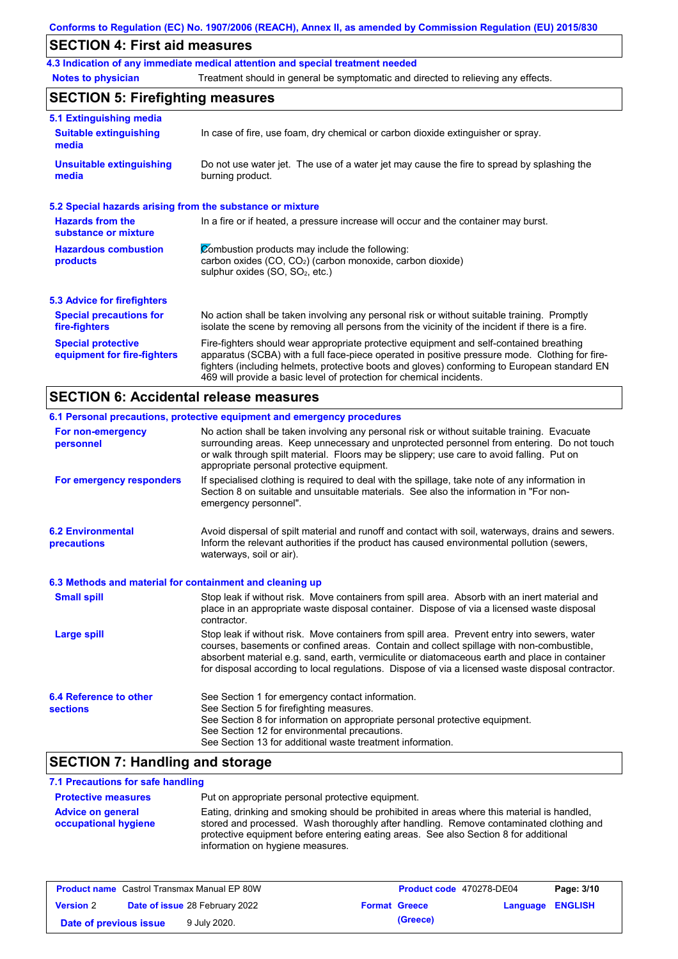### **SECTION 4: First aid measures**

**4.3 Indication of any immediate medical attention and special treatment needed**

**Notes to physician** Treatment should in general be symptomatic and directed to relieving any effects.

## **SECTION 5: Firefighting measures**

| 5.1 Extinguishing media                                   |                                                                                                                                                                                                                                                                                                                                                                   |  |  |
|-----------------------------------------------------------|-------------------------------------------------------------------------------------------------------------------------------------------------------------------------------------------------------------------------------------------------------------------------------------------------------------------------------------------------------------------|--|--|
| <b>Suitable extinguishing</b><br>media                    | In case of fire, use foam, dry chemical or carbon dioxide extinguisher or spray.                                                                                                                                                                                                                                                                                  |  |  |
| <b>Unsuitable extinguishing</b><br>media                  | Do not use water jet. The use of a water jet may cause the fire to spread by splashing the<br>burning product.                                                                                                                                                                                                                                                    |  |  |
| 5.2 Special hazards arising from the substance or mixture |                                                                                                                                                                                                                                                                                                                                                                   |  |  |
| <b>Hazards from the</b><br>substance or mixture           | In a fire or if heated, a pressure increase will occur and the container may burst.                                                                                                                                                                                                                                                                               |  |  |
| <b>Hazardous combustion</b><br>products                   | Combustion products may include the following:<br>carbon oxides (CO, CO <sub>2</sub> ) (carbon monoxide, carbon dioxide)<br>sulphur oxides (SO, SO <sub>2</sub> , etc.)                                                                                                                                                                                           |  |  |
| 5.3 Advice for firefighters                               |                                                                                                                                                                                                                                                                                                                                                                   |  |  |
| <b>Special precautions for</b><br>fire-fighters           | No action shall be taken involving any personal risk or without suitable training. Promptly<br>isolate the scene by removing all persons from the vicinity of the incident if there is a fire.                                                                                                                                                                    |  |  |
| <b>Special protective</b><br>equipment for fire-fighters  | Fire-fighters should wear appropriate protective equipment and self-contained breathing<br>apparatus (SCBA) with a full face-piece operated in positive pressure mode. Clothing for fire-<br>fighters (including helmets, protective boots and gloves) conforming to European standard EN<br>469 will provide a basic level of protection for chemical incidents. |  |  |

## **SECTION 6: Accidental release measures**

| 6.1 Personal precautions, protective equipment and emergency procedures                                                                                                                                                                                                                                                                                                                        |
|------------------------------------------------------------------------------------------------------------------------------------------------------------------------------------------------------------------------------------------------------------------------------------------------------------------------------------------------------------------------------------------------|
| No action shall be taken involving any personal risk or without suitable training. Evacuate<br>surrounding areas. Keep unnecessary and unprotected personnel from entering. Do not touch<br>or walk through spilt material. Floors may be slippery; use care to avoid falling. Put on<br>appropriate personal protective equipment.                                                            |
| If specialised clothing is required to deal with the spillage, take note of any information in<br>Section 8 on suitable and unsuitable materials. See also the information in "For non-<br>emergency personnel".                                                                                                                                                                               |
| Avoid dispersal of spilt material and runoff and contact with soil, waterways, drains and sewers.<br>Inform the relevant authorities if the product has caused environmental pollution (sewers,<br>waterways, soil or air).                                                                                                                                                                    |
| 6.3 Methods and material for containment and cleaning up                                                                                                                                                                                                                                                                                                                                       |
| Stop leak if without risk. Move containers from spill area. Absorb with an inert material and<br>place in an appropriate waste disposal container. Dispose of via a licensed waste disposal<br>contractor.                                                                                                                                                                                     |
| Stop leak if without risk. Move containers from spill area. Prevent entry into sewers, water<br>courses, basements or confined areas. Contain and collect spillage with non-combustible,<br>absorbent material e.g. sand, earth, vermiculite or diatomaceous earth and place in container<br>for disposal according to local regulations. Dispose of via a licensed waste disposal contractor. |
| See Section 1 for emergency contact information.<br>See Section 5 for firefighting measures.<br>See Section 8 for information on appropriate personal protective equipment.<br>See Section 12 for environmental precautions.<br>See Section 13 for additional waste treatment information.                                                                                                     |
|                                                                                                                                                                                                                                                                                                                                                                                                |

### **SECTION 7: Handling and storage**

### **7.1 Precautions for safe handling**

| <b>Protective measures</b>                       | Put on appropriate personal protective equipment.                                                                                                                                                                                                                                                                |
|--------------------------------------------------|------------------------------------------------------------------------------------------------------------------------------------------------------------------------------------------------------------------------------------------------------------------------------------------------------------------|
| <b>Advice on general</b><br>occupational hygiene | Eating, drinking and smoking should be prohibited in areas where this material is handled,<br>stored and processed. Wash thoroughly after handling. Remove contaminated clothing and<br>protective equipment before entering eating areas. See also Section 8 for additional<br>information on hygiene measures. |

| <b>Product name</b> Castrol Transmax Manual EP 80W        |  |                      | <b>Product code</b> 470278-DE04 | Page: 3/10 |  |
|-----------------------------------------------------------|--|----------------------|---------------------------------|------------|--|
| <b>Date of issue 28 February 2022</b><br><b>Version 2</b> |  | <b>Format Greece</b> | Language ENGLISH                |            |  |
| Date of previous issue                                    |  | 9 July 2020.         | (Greece)                        |            |  |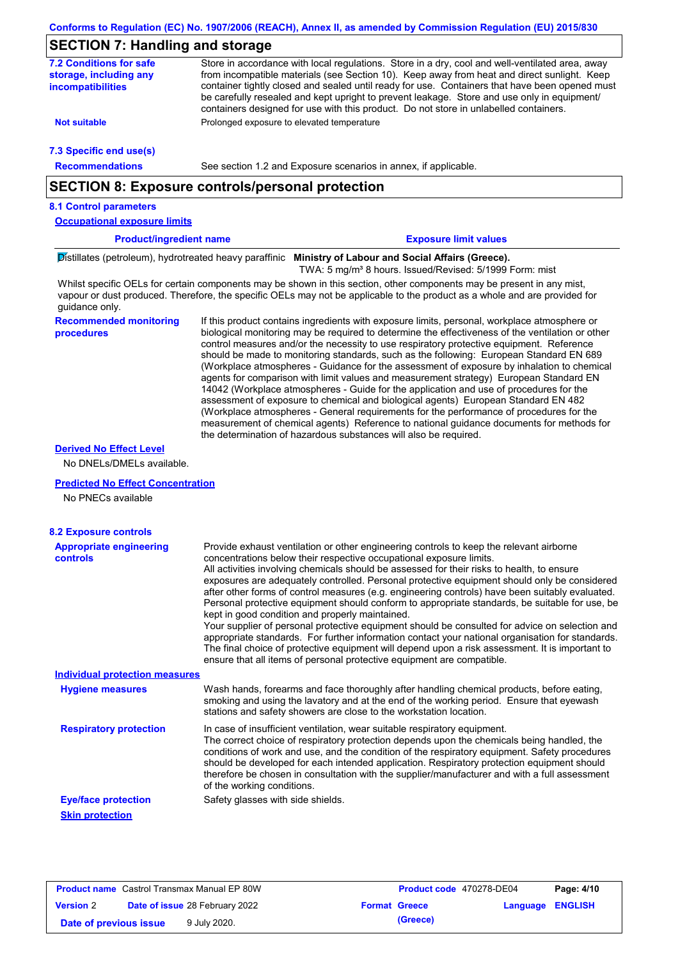### **SECTION 7: Handling and storage**

| SECTION 7: Handling and storage                                               |                                                                                                                                                                                                                                                                                                                                                                                                                                                                                                                                                                                                                                                                                                                                                                                                                                                                                                                                                                                                                            |
|-------------------------------------------------------------------------------|----------------------------------------------------------------------------------------------------------------------------------------------------------------------------------------------------------------------------------------------------------------------------------------------------------------------------------------------------------------------------------------------------------------------------------------------------------------------------------------------------------------------------------------------------------------------------------------------------------------------------------------------------------------------------------------------------------------------------------------------------------------------------------------------------------------------------------------------------------------------------------------------------------------------------------------------------------------------------------------------------------------------------|
| <b>7.2 Conditions for safe</b><br>storage, including any<br>incompatibilities | Store in accordance with local regulations. Store in a dry, cool and well-ventilated area, away<br>from incompatible materials (see Section 10). Keep away from heat and direct sunlight. Keep<br>container tightly closed and sealed until ready for use. Containers that have been opened must<br>be carefully resealed and kept upright to prevent leakage. Store and use only in equipment/<br>containers designed for use with this product. Do not store in unlabelled containers.                                                                                                                                                                                                                                                                                                                                                                                                                                                                                                                                   |
| <b>Not suitable</b>                                                           | Prolonged exposure to elevated temperature                                                                                                                                                                                                                                                                                                                                                                                                                                                                                                                                                                                                                                                                                                                                                                                                                                                                                                                                                                                 |
| 7.3 Specific end use(s)                                                       |                                                                                                                                                                                                                                                                                                                                                                                                                                                                                                                                                                                                                                                                                                                                                                                                                                                                                                                                                                                                                            |
| <b>Recommendations</b>                                                        | See section 1.2 and Exposure scenarios in annex, if applicable.                                                                                                                                                                                                                                                                                                                                                                                                                                                                                                                                                                                                                                                                                                                                                                                                                                                                                                                                                            |
|                                                                               | <b>SECTION 8: Exposure controls/personal protection</b>                                                                                                                                                                                                                                                                                                                                                                                                                                                                                                                                                                                                                                                                                                                                                                                                                                                                                                                                                                    |
| <b>8.1 Control parameters</b>                                                 |                                                                                                                                                                                                                                                                                                                                                                                                                                                                                                                                                                                                                                                                                                                                                                                                                                                                                                                                                                                                                            |
| <b>Occupational exposure limits</b>                                           |                                                                                                                                                                                                                                                                                                                                                                                                                                                                                                                                                                                                                                                                                                                                                                                                                                                                                                                                                                                                                            |
| <b>Product/ingredient name</b>                                                | <b>Exposure limit values</b>                                                                                                                                                                                                                                                                                                                                                                                                                                                                                                                                                                                                                                                                                                                                                                                                                                                                                                                                                                                               |
|                                                                               | Distillates (petroleum), hydrotreated heavy paraffinic Ministry of Labour and Social Affairs (Greece).<br>TWA: 5 mg/m <sup>3</sup> 8 hours. Issued/Revised: 5/1999 Form: mist                                                                                                                                                                                                                                                                                                                                                                                                                                                                                                                                                                                                                                                                                                                                                                                                                                              |
| guidance only.                                                                | Whilst specific OELs for certain components may be shown in this section, other components may be present in any mist,<br>vapour or dust produced. Therefore, the specific OELs may not be applicable to the product as a whole and are provided for                                                                                                                                                                                                                                                                                                                                                                                                                                                                                                                                                                                                                                                                                                                                                                       |
| <b>Recommended monitoring</b><br>procedures                                   | If this product contains ingredients with exposure limits, personal, workplace atmosphere or<br>biological monitoring may be required to determine the effectiveness of the ventilation or other<br>control measures and/or the necessity to use respiratory protective equipment. Reference<br>should be made to monitoring standards, such as the following: European Standard EN 689<br>(Workplace atmospheres - Guidance for the assessment of exposure by inhalation to chemical<br>agents for comparison with limit values and measurement strategy) European Standard EN<br>14042 (Workplace atmospheres - Guide for the application and use of procedures for the<br>assessment of exposure to chemical and biological agents) European Standard EN 482<br>(Workplace atmospheres - General requirements for the performance of procedures for the<br>measurement of chemical agents) Reference to national guidance documents for methods for<br>the determination of hazardous substances will also be required. |
| <b>Derived No Effect Level</b><br>No DNELs/DMELs available.                   |                                                                                                                                                                                                                                                                                                                                                                                                                                                                                                                                                                                                                                                                                                                                                                                                                                                                                                                                                                                                                            |
| <b>Predicted No Effect Concentration</b><br>No PNECs available                |                                                                                                                                                                                                                                                                                                                                                                                                                                                                                                                                                                                                                                                                                                                                                                                                                                                                                                                                                                                                                            |
| <b>8.2 Exposure controls</b>                                                  |                                                                                                                                                                                                                                                                                                                                                                                                                                                                                                                                                                                                                                                                                                                                                                                                                                                                                                                                                                                                                            |
| <b>Appropriate engineering</b><br>controls                                    | Provide exhaust ventilation or other engineering controls to keep the relevant airborne<br>concentrations below their respective occupational exposure limits.<br>All activities involving chemicals should be assessed for their risks to health, to ensure<br>exposures are adequately controlled. Personal protective equipment should only be considered<br>after other forms of control measures (e.g. engineering controls) have been suitably evaluated.<br>Personal protective equipment should conform to appropriate standards, be suitable for use, be<br>kept in good condition and properly maintained.<br>Your supplier of personal protective equipment should be consulted for advice on selection and<br>appropriate standards. For further information contact your national organisation for standards.<br>The final choice of protective equipment will depend upon a risk assessment. It is important to<br>ensure that all items of personal protective equipment are compatible.                    |
| <b>Individual protection measures</b>                                         |                                                                                                                                                                                                                                                                                                                                                                                                                                                                                                                                                                                                                                                                                                                                                                                                                                                                                                                                                                                                                            |
| <b>Hygiene measures</b>                                                       | Wash hands, forearms and face thoroughly after handling chemical products, before eating,<br>smoking and using the lavatory and at the end of the working period. Ensure that eyewash<br>stations and safety showers are close to the workstation location.                                                                                                                                                                                                                                                                                                                                                                                                                                                                                                                                                                                                                                                                                                                                                                |
| <b>Respiratory protection</b>                                                 | In case of insufficient ventilation, wear suitable respiratory equipment.<br>The correct choice of respiratory protection depends upon the chemicals being handled, the<br>conditions of work and use, and the condition of the respiratory equipment. Safety procedures<br>should be developed for each intended application. Respiratory protection equipment should<br>therefore be chosen in consultation with the supplier/manufacturer and with a full assessment                                                                                                                                                                                                                                                                                                                                                                                                                                                                                                                                                    |
|                                                                               | of the working conditions.                                                                                                                                                                                                                                                                                                                                                                                                                                                                                                                                                                                                                                                                                                                                                                                                                                                                                                                                                                                                 |
| <b>Eye/face protection</b>                                                    | Safety glasses with side shields.                                                                                                                                                                                                                                                                                                                                                                                                                                                                                                                                                                                                                                                                                                                                                                                                                                                                                                                                                                                          |

| <b>Product name</b> Castrol Transmax Manual EP 80W |  |                                       | Product code 470278-DE04 | Page: 4/10           |                         |  |
|----------------------------------------------------|--|---------------------------------------|--------------------------|----------------------|-------------------------|--|
| <b>Version 2</b>                                   |  | <b>Date of issue 28 February 2022</b> |                          | <b>Format Greece</b> | <b>Language ENGLISH</b> |  |
| Date of previous issue                             |  | 9 July 2020.                          |                          | (Greece)             |                         |  |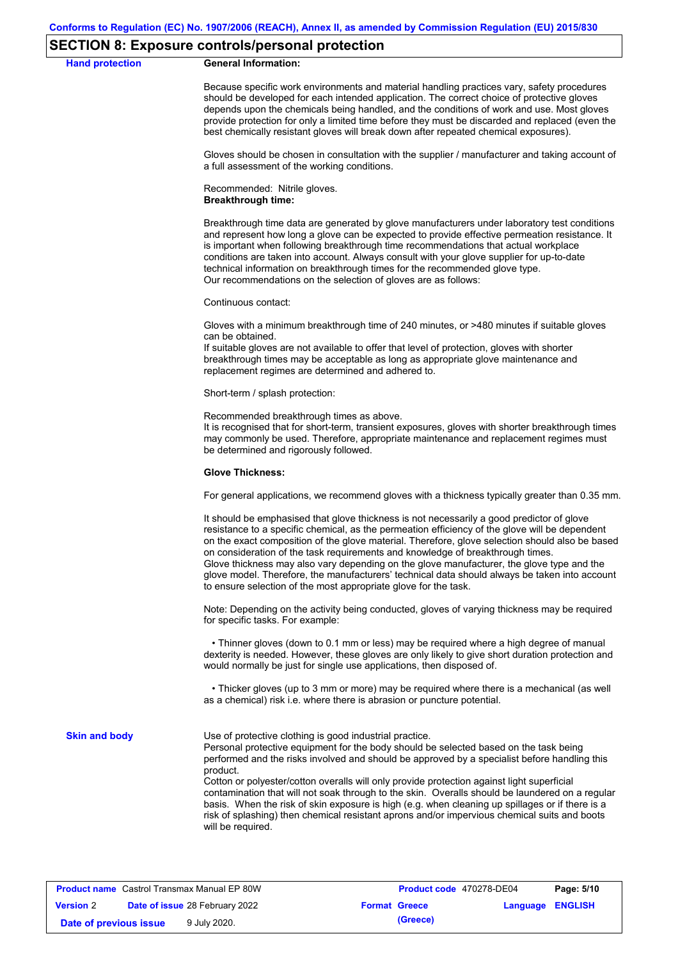#### **SECTION 8: Exposure controls/personal protection**

**Hand protection** 

|  | <b>General Information:</b> |
|--|-----------------------------|
|--|-----------------------------|

Because specific work environments and material handling practices vary, safety procedures should be developed for each intended application. The correct choice of protective gloves depends upon the chemicals being handled, and the conditions of work and use. Most gloves provide protection for only a limited time before they must be discarded and replaced (even the best chemically resistant gloves will break down after repeated chemical exposures).

Gloves should be chosen in consultation with the supplier / manufacturer and taking account of a full assessment of the working conditions.

Recommended: Nitrile gloves. **Breakthrough time:**

Breakthrough time data are generated by glove manufacturers under laboratory test conditions and represent how long a glove can be expected to provide effective permeation resistance. It is important when following breakthrough time recommendations that actual workplace conditions are taken into account. Always consult with your glove supplier for up-to-date technical information on breakthrough times for the recommended glove type. Our recommendations on the selection of gloves are as follows:

Continuous contact:

Gloves with a minimum breakthrough time of 240 minutes, or >480 minutes if suitable gloves can be obtained.

If suitable gloves are not available to offer that level of protection, gloves with shorter breakthrough times may be acceptable as long as appropriate glove maintenance and replacement regimes are determined and adhered to.

Short-term / splash protection:

Recommended breakthrough times as above.

It is recognised that for short-term, transient exposures, gloves with shorter breakthrough times may commonly be used. Therefore, appropriate maintenance and replacement regimes must be determined and rigorously followed.

#### **Glove Thickness:**

For general applications, we recommend gloves with a thickness typically greater than 0.35 mm.

It should be emphasised that glove thickness is not necessarily a good predictor of glove resistance to a specific chemical, as the permeation efficiency of the glove will be dependent on the exact composition of the glove material. Therefore, glove selection should also be based on consideration of the task requirements and knowledge of breakthrough times. Glove thickness may also vary depending on the glove manufacturer, the glove type and the glove model. Therefore, the manufacturers' technical data should always be taken into account to ensure selection of the most appropriate glove for the task.

Note: Depending on the activity being conducted, gloves of varying thickness may be required for specific tasks. For example:

 • Thinner gloves (down to 0.1 mm or less) may be required where a high degree of manual dexterity is needed. However, these gloves are only likely to give short duration protection and would normally be just for single use applications, then disposed of.

 • Thicker gloves (up to 3 mm or more) may be required where there is a mechanical (as well as a chemical) risk i.e. where there is abrasion or puncture potential.

**Skin and body**

Use of protective clothing is good industrial practice.

Personal protective equipment for the body should be selected based on the task being performed and the risks involved and should be approved by a specialist before handling this product.

Cotton or polyester/cotton overalls will only provide protection against light superficial contamination that will not soak through to the skin. Overalls should be laundered on a regular basis. When the risk of skin exposure is high (e.g. when cleaning up spillages or if there is a risk of splashing) then chemical resistant aprons and/or impervious chemical suits and boots will be required.

| <b>Product name</b> Castrol Transmax Manual EP 80W        |  |              | Product code 470278-DE04 | Page: 5/10              |  |  |
|-----------------------------------------------------------|--|--------------|--------------------------|-------------------------|--|--|
| <b>Date of issue 28 February 2022</b><br><b>Version 2</b> |  |              | <b>Format Greece</b>     | <b>Language ENGLISH</b> |  |  |
| Date of previous issue                                    |  | 9 July 2020. |                          | (Greece)                |  |  |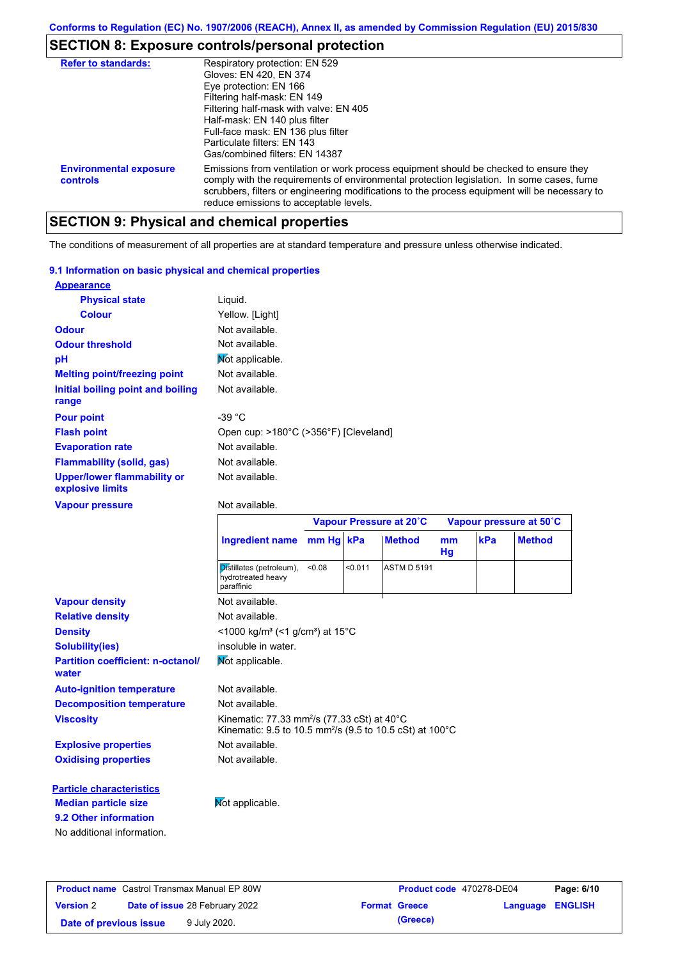## **SECTION 8: Exposure controls/personal protection**

| <b>Refer to standards:</b>                | Respiratory protection: EN 529                                                                                                                                                                                                                                                                                                |
|-------------------------------------------|-------------------------------------------------------------------------------------------------------------------------------------------------------------------------------------------------------------------------------------------------------------------------------------------------------------------------------|
|                                           | Gloves: EN 420, EN 374                                                                                                                                                                                                                                                                                                        |
|                                           | Eye protection: EN 166                                                                                                                                                                                                                                                                                                        |
|                                           | Filtering half-mask: EN 149                                                                                                                                                                                                                                                                                                   |
|                                           | Filtering half-mask with valve: EN 405                                                                                                                                                                                                                                                                                        |
|                                           | Half-mask: EN 140 plus filter                                                                                                                                                                                                                                                                                                 |
|                                           | Full-face mask: EN 136 plus filter                                                                                                                                                                                                                                                                                            |
|                                           | Particulate filters: FN 143                                                                                                                                                                                                                                                                                                   |
|                                           | Gas/combined filters: EN 14387                                                                                                                                                                                                                                                                                                |
| <b>Environmental exposure</b><br>controls | Emissions from ventilation or work process equipment should be checked to ensure they<br>comply with the requirements of environmental protection legislation. In some cases, fume<br>scrubbers, filters or engineering modifications to the process equipment will be necessary to<br>reduce emissions to acceptable levels. |

# **SECTION 9: Physical and chemical properties**

The conditions of measurement of all properties are at standard temperature and pressure unless otherwise indicated.

#### **9.1 Information on basic physical and chemical properties**

| <b>Appearance</b>                                      |                                       |
|--------------------------------------------------------|---------------------------------------|
| <b>Physical state</b>                                  | Liquid.                               |
| <b>Colour</b>                                          | Yellow. [Light]                       |
| <b>Odour</b>                                           | Not available.                        |
| <b>Odour threshold</b>                                 | Not available.                        |
| рH                                                     | Mot applicable.                       |
| <b>Melting point/freezing point</b>                    | Not available.                        |
| Initial boiling point and boiling<br>range             | Not available.                        |
| <b>Pour point</b>                                      | -39 $^{\circ}$ C                      |
| <b>Flash point</b>                                     | Open cup: >180°C (>356°F) [Cleveland] |
| <b>Evaporation rate</b>                                | Not available.                        |
| <b>Flammability (solid, gas)</b>                       | Not available.                        |
| <b>Upper/lower flammability or</b><br>explosive limits | Not available.                        |

#### **Vapour pressure**

#### Not available.

|                                                   |                                                                                                                                            |           | Vapour Pressure at 20°C |                    | Vapour pressure at 50°C |     |               |
|---------------------------------------------------|--------------------------------------------------------------------------------------------------------------------------------------------|-----------|-------------------------|--------------------|-------------------------|-----|---------------|
|                                                   | <b>Ingredient name</b>                                                                                                                     | mm Hg kPa |                         | <b>Method</b>      | m <sub>m</sub><br>Hg    | kPa | <b>Method</b> |
|                                                   | Distillates (petroleum),<br>hydrotreated heavy<br>paraffinic                                                                               | < 0.08    | < 0.011                 | <b>ASTM D 5191</b> |                         |     |               |
| <b>Vapour density</b>                             | Not available.                                                                                                                             |           |                         |                    |                         |     |               |
| <b>Relative density</b>                           | Not available.                                                                                                                             |           |                         |                    |                         |     |               |
| <b>Density</b>                                    | <1000 kg/m <sup>3</sup> (<1 g/cm <sup>3</sup> ) at 15 <sup>°</sup> C                                                                       |           |                         |                    |                         |     |               |
| <b>Solubility(ies)</b>                            | insoluble in water.                                                                                                                        |           |                         |                    |                         |     |               |
| <b>Partition coefficient: n-octanol/</b><br>water | Not applicable.                                                                                                                            |           |                         |                    |                         |     |               |
| <b>Auto-ignition temperature</b>                  | Not available.                                                                                                                             |           |                         |                    |                         |     |               |
| <b>Decomposition temperature</b>                  | Not available.                                                                                                                             |           |                         |                    |                         |     |               |
| <b>Viscosity</b>                                  | Kinematic: 77.33 mm <sup>2</sup> /s (77.33 cSt) at $40^{\circ}$ C<br>Kinematic: 9.5 to 10.5 mm <sup>2</sup> /s (9.5 to 10.5 cSt) at 100 °C |           |                         |                    |                         |     |               |
| <b>Explosive properties</b>                       | Not available.                                                                                                                             |           |                         |                    |                         |     |               |
| <b>Oxidising properties</b>                       | Not available.                                                                                                                             |           |                         |                    |                         |     |               |
| <b>Particle characteristics</b>                   |                                                                                                                                            |           |                         |                    |                         |     |               |
| <b>Median particle size</b>                       | Not applicable.                                                                                                                            |           |                         |                    |                         |     |               |
| 9.2 Other information                             |                                                                                                                                            |           |                         |                    |                         |     |               |
| No additional information.                        |                                                                                                                                            |           |                         |                    |                         |     |               |

| <b>Product name</b> Castrol Transmax Manual EP 80W        |  |              | Product code 470278-DE04 | Page: 6/10              |  |  |
|-----------------------------------------------------------|--|--------------|--------------------------|-------------------------|--|--|
| <b>Date of issue 28 February 2022</b><br><b>Version 2</b> |  |              | <b>Format Greece</b>     | <b>Language ENGLISH</b> |  |  |
| Date of previous issue                                    |  | 9 July 2020. |                          | (Greece)                |  |  |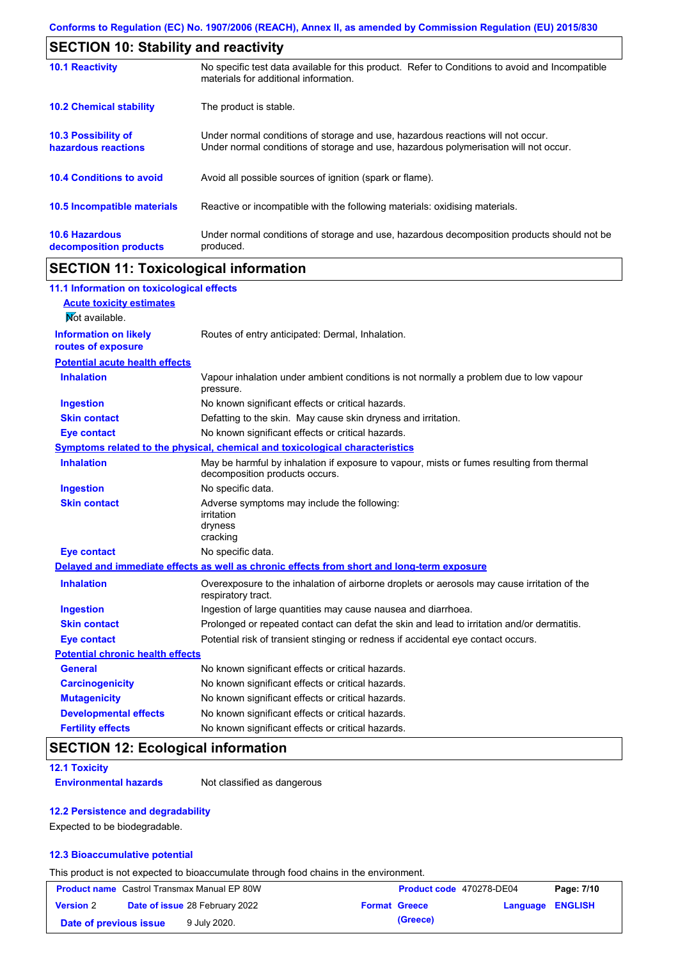|                                                 | <b>SECTION 10: Stability and reactivity</b>                                                                                                                             |  |  |  |
|-------------------------------------------------|-------------------------------------------------------------------------------------------------------------------------------------------------------------------------|--|--|--|
| <b>10.1 Reactivity</b>                          | No specific test data available for this product. Refer to Conditions to avoid and Incompatible<br>materials for additional information.                                |  |  |  |
| <b>10.2 Chemical stability</b>                  | The product is stable.                                                                                                                                                  |  |  |  |
| 10.3 Possibility of<br>hazardous reactions      | Under normal conditions of storage and use, hazardous reactions will not occur.<br>Under normal conditions of storage and use, hazardous polymerisation will not occur. |  |  |  |
| <b>10.4 Conditions to avoid</b>                 | Avoid all possible sources of ignition (spark or flame).                                                                                                                |  |  |  |
| <b>10.5 Incompatible materials</b>              | Reactive or incompatible with the following materials: oxidising materials.                                                                                             |  |  |  |
| <b>10.6 Hazardous</b><br>decomposition products | Under normal conditions of storage and use, hazardous decomposition products should not be<br>produced.                                                                 |  |  |  |

## **SECTION 11: Toxicological information**

| 11.1 Information on toxicological effects          |                                                                                                                             |
|----------------------------------------------------|-----------------------------------------------------------------------------------------------------------------------------|
| <b>Acute toxicity estimates</b>                    |                                                                                                                             |
| Not available.                                     |                                                                                                                             |
| <b>Information on likely</b><br>routes of exposure | Routes of entry anticipated: Dermal, Inhalation.                                                                            |
| <b>Potential acute health effects</b>              |                                                                                                                             |
| <b>Inhalation</b>                                  | Vapour inhalation under ambient conditions is not normally a problem due to low vapour<br>pressure.                         |
| <b>Ingestion</b>                                   | No known significant effects or critical hazards.                                                                           |
| <b>Skin contact</b>                                | Defatting to the skin. May cause skin dryness and irritation.                                                               |
| <b>Eye contact</b>                                 | No known significant effects or critical hazards.                                                                           |
|                                                    | Symptoms related to the physical, chemical and toxicological characteristics                                                |
| <b>Inhalation</b>                                  | May be harmful by inhalation if exposure to vapour, mists or fumes resulting from thermal<br>decomposition products occurs. |
| <b>Ingestion</b>                                   | No specific data.                                                                                                           |
| <b>Skin contact</b>                                | Adverse symptoms may include the following:<br>irritation<br>dryness<br>cracking                                            |
| <b>Eye contact</b>                                 | No specific data.                                                                                                           |
|                                                    | Delayed and immediate effects as well as chronic effects from short and long-term exposure                                  |
| <b>Inhalation</b>                                  | Overexposure to the inhalation of airborne droplets or aerosols may cause irritation of the<br>respiratory tract.           |
| <b>Ingestion</b>                                   | Ingestion of large quantities may cause nausea and diarrhoea.                                                               |
| <b>Skin contact</b>                                | Prolonged or repeated contact can defat the skin and lead to irritation and/or dermatitis.                                  |
| <b>Eye contact</b>                                 | Potential risk of transient stinging or redness if accidental eye contact occurs.                                           |
| <b>Potential chronic health effects</b>            |                                                                                                                             |
| <b>General</b>                                     | No known significant effects or critical hazards.                                                                           |
| <b>Carcinogenicity</b>                             | No known significant effects or critical hazards.                                                                           |
| <b>Mutagenicity</b>                                | No known significant effects or critical hazards.                                                                           |
| <b>Developmental effects</b>                       | No known significant effects or critical hazards.                                                                           |
| <b>Fertility effects</b>                           | No known significant effects or critical hazards.                                                                           |

### **SECTION 12: Ecological information**

**12.1 Toxicity**

**Environmental hazards** Not classified as dangerous

#### **12.2 Persistence and degradability**

Expected to be biodegradable.

#### **12.3 Bioaccumulative potential**

This product is not expected to bioaccumulate through food chains in the environment.

| <b>Product name</b> Castrol Transmax Manual EP 80W |  |                                       | Product code 470278-DE04 | Page: 7/10           |                  |  |
|----------------------------------------------------|--|---------------------------------------|--------------------------|----------------------|------------------|--|
| <b>Version 2</b>                                   |  | <b>Date of issue 28 February 2022</b> |                          | <b>Format Greece</b> | Language ENGLISH |  |
| Date of previous issue                             |  | 9 July 2020.                          |                          | (Greece)             |                  |  |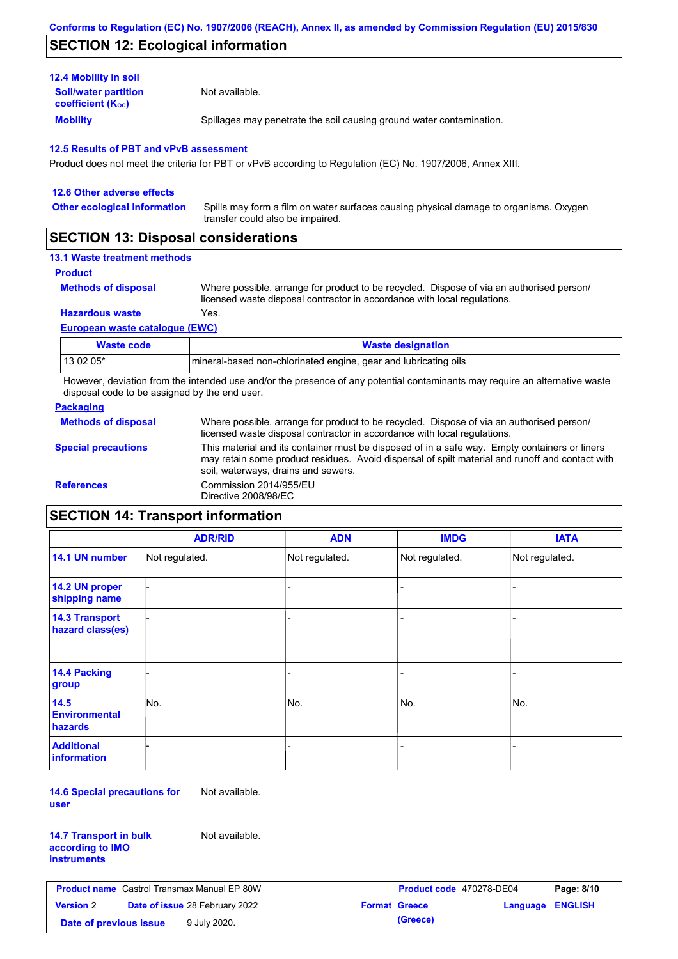### **SECTION 12: Ecological information**

| <b>Mobility</b>                                       | Spillages may penetrate the soil causing ground water contamination. |
|-------------------------------------------------------|----------------------------------------------------------------------|
| <b>Soil/water partition</b><br>coefficient $(K_{oc})$ | Not available.                                                       |
| <b>12.4 Mobility in soil</b>                          |                                                                      |

Product does not meet the criteria for PBT or vPvB according to Regulation (EC) No. 1907/2006, Annex XIII.

| 12.6 Other adverse effects                                                                                                                                                                                                                                                                                                                                                                                             |                                                                                                                           |  |  |  |
|------------------------------------------------------------------------------------------------------------------------------------------------------------------------------------------------------------------------------------------------------------------------------------------------------------------------------------------------------------------------------------------------------------------------|---------------------------------------------------------------------------------------------------------------------------|--|--|--|
| <b>Other ecological information</b>                                                                                                                                                                                                                                                                                                                                                                                    | Spills may form a film on water surfaces causing physical damage to organisms. Oxygen<br>transfer could also be impaired. |  |  |  |
| $\mathsf{A} \mathsf{F} \mathsf{A} \mathsf{F} \mathsf{I} \mathsf{A} \mathsf{I} \mathsf{A} \mathsf{I} \mathsf{B} \mathsf{I} \mathsf{I} \mathsf{I} \mathsf{I} \mathsf{I} \mathsf{I} \mathsf{I} \mathsf{I} \mathsf{I} \mathsf{I} \mathsf{I} \mathsf{I} \mathsf{I} \mathsf{I} \mathsf{I} \mathsf{I} \mathsf{I} \mathsf{I} \mathsf{I} \mathsf{I} \mathsf{I} \mathsf{I} \mathsf{I} \mathsf{I} \mathsf{I} \mathsf{I} \mathsf{$ |                                                                                                                           |  |  |  |

### **SECTION 13: Disposal considerations**

### **13.1 Waste treatment methods**

```
Product
```
**Methods of disposal**

Where possible, arrange for product to be recycled. Dispose of via an authorised person/ licensed waste disposal contractor in accordance with local regulations.

**Hazardous waste** Yes.

**European waste catalogue (EWC)**

| Waste code | <b>Waste designation</b>                                        |
|------------|-----------------------------------------------------------------|
| 13 02 05*  | mineral-based non-chlorinated engine, gear and lubricating oils |

However, deviation from the intended use and/or the presence of any potential contaminants may require an alternative waste disposal code to be assigned by the end user.

#### **Packaging**

| <b>Methods of disposal</b> | Where possible, arrange for product to be recycled. Dispose of via an authorised person/<br>licensed waste disposal contractor in accordance with local regulations.                                                                    |
|----------------------------|-----------------------------------------------------------------------------------------------------------------------------------------------------------------------------------------------------------------------------------------|
| <b>Special precautions</b> | This material and its container must be disposed of in a safe way. Empty containers or liners<br>may retain some product residues. Avoid dispersal of spilt material and runoff and contact with<br>soil, waterways, drains and sewers. |
| <b>References</b>          | Commission 2014/955/EU<br>Directive 2008/98/EC                                                                                                                                                                                          |

## **SECTION 14: Transport information**

|                                                | <b>ADR/RID</b> | <b>ADN</b>     | <b>IMDG</b>    | <b>IATA</b>    |
|------------------------------------------------|----------------|----------------|----------------|----------------|
| 14.1 UN number                                 | Not regulated. | Not regulated. | Not regulated. | Not regulated. |
| 14.2 UN proper<br>shipping name                |                |                |                |                |
| <b>14.3 Transport</b><br>hazard class(es)      |                |                |                |                |
| 14.4 Packing<br>group                          |                |                |                |                |
| 14.5<br><b>Environmental</b><br><b>hazards</b> | No.            | No.            | No.            | No.            |
| <b>Additional</b><br>information               |                |                |                |                |

**14.6 Special precautions for user** Not available.

| <b>14.7 Transport in bulk</b> |  |
|-------------------------------|--|
| according to IMO              |  |
| instruments                   |  |

Not available.

|                        | <b>Product name</b> Castrol Transmax Manual EP 80W | Product code 470278-DE04 |                         | Page: 8/10 |
|------------------------|----------------------------------------------------|--------------------------|-------------------------|------------|
| <b>Version</b> 2       | <b>Date of issue 28 February 2022</b>              | <b>Format Greece</b>     | <b>Language ENGLISH</b> |            |
| Date of previous issue | 9 July 2020.                                       | (Greece)                 |                         |            |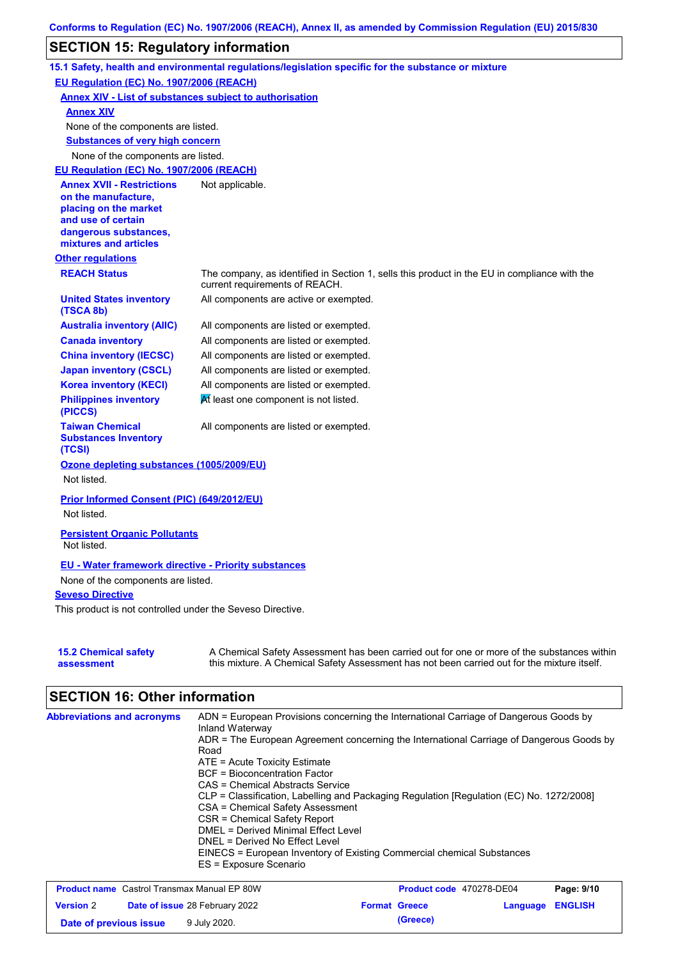## **SECTION 15: Regulatory information**

|                                                                                                                                                                                                                                        | 15.1 Safety, health and environmental regulations/legislation specific for the substance or mixture                            |  |  |  |  |
|----------------------------------------------------------------------------------------------------------------------------------------------------------------------------------------------------------------------------------------|--------------------------------------------------------------------------------------------------------------------------------|--|--|--|--|
| EU Regulation (EC) No. 1907/2006 (REACH)                                                                                                                                                                                               |                                                                                                                                |  |  |  |  |
| <b>Annex XIV - List of substances subject to authorisation</b>                                                                                                                                                                         |                                                                                                                                |  |  |  |  |
| <b>Annex XIV</b>                                                                                                                                                                                                                       |                                                                                                                                |  |  |  |  |
| None of the components are listed.                                                                                                                                                                                                     |                                                                                                                                |  |  |  |  |
| <b>Substances of very high concern</b>                                                                                                                                                                                                 |                                                                                                                                |  |  |  |  |
| None of the components are listed.                                                                                                                                                                                                     |                                                                                                                                |  |  |  |  |
| EU Regulation (EC) No. 1907/2006 (REACH)                                                                                                                                                                                               |                                                                                                                                |  |  |  |  |
| <b>Annex XVII - Restrictions</b>                                                                                                                                                                                                       | Not applicable.                                                                                                                |  |  |  |  |
| on the manufacture,                                                                                                                                                                                                                    |                                                                                                                                |  |  |  |  |
| placing on the market<br>and use of certain                                                                                                                                                                                            |                                                                                                                                |  |  |  |  |
| dangerous substances,                                                                                                                                                                                                                  |                                                                                                                                |  |  |  |  |
| mixtures and articles                                                                                                                                                                                                                  |                                                                                                                                |  |  |  |  |
| <b>Other regulations</b>                                                                                                                                                                                                               |                                                                                                                                |  |  |  |  |
| <b>REACH Status</b>                                                                                                                                                                                                                    | The company, as identified in Section 1, sells this product in the EU in compliance with the<br>current requirements of REACH. |  |  |  |  |
| <b>United States inventory</b><br>(TSCA 8b)                                                                                                                                                                                            | All components are active or exempted.                                                                                         |  |  |  |  |
| <b>Australia inventory (AIIC)</b>                                                                                                                                                                                                      | All components are listed or exempted.                                                                                         |  |  |  |  |
| <b>Canada inventory</b>                                                                                                                                                                                                                | All components are listed or exempted.                                                                                         |  |  |  |  |
| <b>China inventory (IECSC)</b>                                                                                                                                                                                                         | All components are listed or exempted.                                                                                         |  |  |  |  |
| <b>Japan inventory (CSCL)</b>                                                                                                                                                                                                          | All components are listed or exempted.                                                                                         |  |  |  |  |
| <b>Korea inventory (KECI)</b>                                                                                                                                                                                                          | All components are listed or exempted.                                                                                         |  |  |  |  |
| <b>Philippines inventory</b><br>(PICCS)                                                                                                                                                                                                | At least one component is not listed.                                                                                          |  |  |  |  |
| <b>Taiwan Chemical</b><br><b>Substances Inventory</b><br>(TCSI)                                                                                                                                                                        | All components are listed or exempted.                                                                                         |  |  |  |  |
| Ozone depleting substances (1005/2009/EU)                                                                                                                                                                                              |                                                                                                                                |  |  |  |  |
| Not listed.                                                                                                                                                                                                                            |                                                                                                                                |  |  |  |  |
|                                                                                                                                                                                                                                        |                                                                                                                                |  |  |  |  |
| Prior Informed Consent (PIC) (649/2012/EU)                                                                                                                                                                                             |                                                                                                                                |  |  |  |  |
| Not listed.                                                                                                                                                                                                                            |                                                                                                                                |  |  |  |  |
| <b>Persistent Organic Pollutants</b><br>Not listed.                                                                                                                                                                                    |                                                                                                                                |  |  |  |  |
| <b>EU - Water framework directive - Priority substances</b>                                                                                                                                                                            |                                                                                                                                |  |  |  |  |
| None of the components are listed.                                                                                                                                                                                                     |                                                                                                                                |  |  |  |  |
| <b>Seveso Directive</b>                                                                                                                                                                                                                |                                                                                                                                |  |  |  |  |
|                                                                                                                                                                                                                                        | This product is not controlled under the Seveso Directive.                                                                     |  |  |  |  |
|                                                                                                                                                                                                                                        |                                                                                                                                |  |  |  |  |
| A Chemical Safety Assessment has been carried out for one or more of the substances within<br><b>15.2 Chemical safety</b><br>this mixture. A Chemical Safety Assessment has not been carried out for the mixture itself.<br>assessment |                                                                                                                                |  |  |  |  |

# **SECTION 16: Other information**

| <b>Abbreviations and acronyms</b> | ADN = European Provisions concerning the International Carriage of Dangerous Goods by<br>Inland Waterway |
|-----------------------------------|----------------------------------------------------------------------------------------------------------|
|                                   | ADR = The European Agreement concerning the International Carriage of Dangerous Goods by<br>Road         |
|                                   | $ATE =$ Acute Toxicity Estimate                                                                          |
|                                   | <b>BCF</b> = Bioconcentration Factor                                                                     |
|                                   | CAS = Chemical Abstracts Service                                                                         |
|                                   | CLP = Classification, Labelling and Packaging Regulation [Regulation (EC) No. 1272/2008]                 |
|                                   | CSA = Chemical Safety Assessment                                                                         |
|                                   | CSR = Chemical Safety Report                                                                             |
|                                   | DMEL = Derived Minimal Effect Level                                                                      |
|                                   | DNEL = Derived No Effect Level                                                                           |
|                                   | EINECS = European Inventory of Existing Commercial chemical Substances<br>ES = Exposure Scenario         |

|                        | <b>Product name</b> Castrol Transmax Manual EP 80W | Product code 470278-DE04 |                         | Page: 9/10 |
|------------------------|----------------------------------------------------|--------------------------|-------------------------|------------|
| <b>Version 2</b>       | <b>Date of issue 28 February 2022</b>              | <b>Format Greece</b>     | <b>Language ENGLISH</b> |            |
| Date of previous issue | 9 July 2020.                                       | (Greece)                 |                         |            |